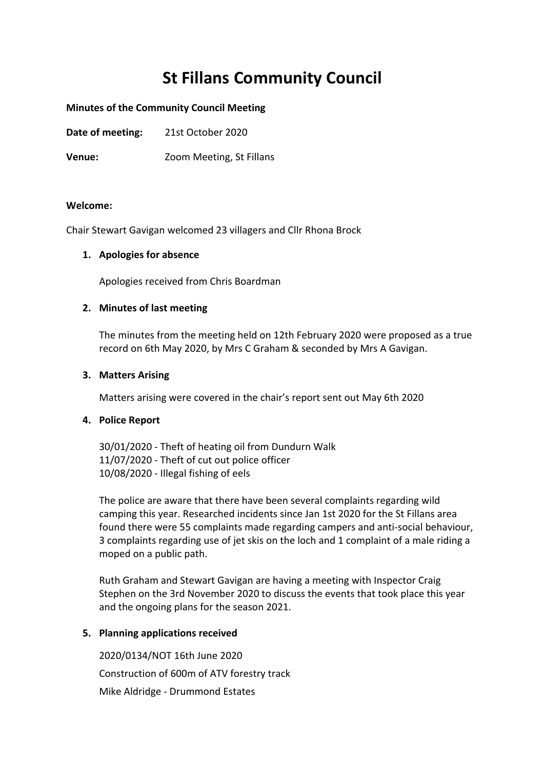# **St Fillans Community Council**

## **Minutes of the Community Council Meeting**

**Date of meeting:** 21st October 2020

**Venue:** Zoom Meeting, St Fillans

#### **Welcome:**

Chair Stewart Gavigan welcomed 23 villagers and Cllr Rhona Brock

#### **1. Apologies for absence**

Apologies received from Chris Boardman

#### **2. Minutes of last meeting**

The minutes from the meeting held on 12th February 2020 were proposed as a true record on 6th May 2020, by Mrs C Graham & seconded by Mrs A Gavigan.

#### **3. Matters Arising**

Matters arising were covered in the chair's report sent out May 6th 2020

# **4. Police Report**

30/01/2020 - Theft of heating oil from Dundurn Walk 11/07/2020 - Theft of cut out police officer 10/08/2020 - Illegal fishing of eels

The police are aware that there have been several complaints regarding wild camping this year. Researched incidents since Jan 1st 2020 for the St Fillans area found there were 55 complaints made regarding campers and anti-social behaviour, 3 complaints regarding use of jet skis on the loch and 1 complaint of a male riding a moped on a public path.

Ruth Graham and Stewart Gavigan are having a meeting with Inspector Craig Stephen on the 3rd November 2020 to discuss the events that took place this year and the ongoing plans for the season 2021.

# **5. Planning applications received**

2020/0134/NOT 16th June 2020 Construction of 600m of ATV forestry track Mike Aldridge - Drummond Estates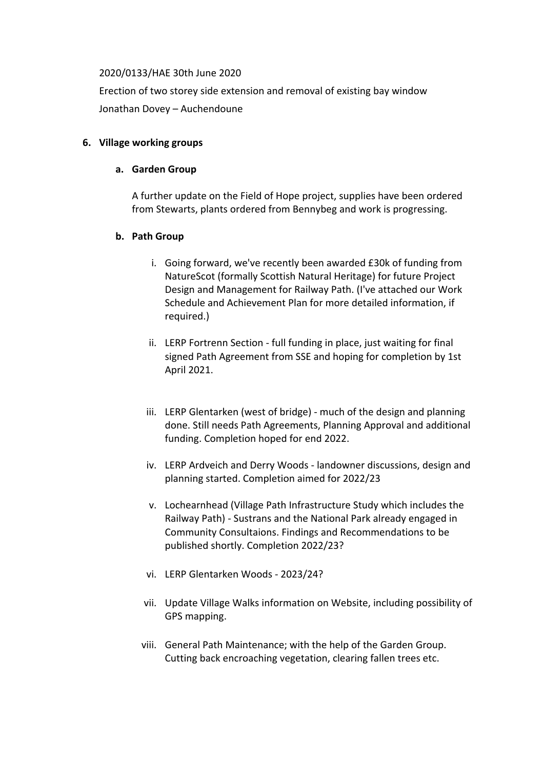#### 2020/0133/HAE 30th June 2020

Erection of two storey side extension and removal of existing bay window Jonathan Dovey – Auchendoune

# **6. Village working groups**

## **a. Garden Group**

A further update on the Field of Hope project, supplies have been ordered from Stewarts, plants ordered from Bennybeg and work is progressing.

# **b. Path Group**

- i. Going forward, we've recently been awarded £30k of funding from NatureScot (formally Scottish Natural Heritage) for future Project Design and Management for Railway Path. (I've attached our Work Schedule and Achievement Plan for more detailed information, if required.)
- ii. LERP Fortrenn Section full funding in place, just waiting for final signed Path Agreement from SSE and hoping for completion by 1st April 2021.
- iii. LERP Glentarken (west of bridge) much of the design and planning done. Still needs Path Agreements, Planning Approval and additional funding. Completion hoped for end 2022.
- iv. LERP Ardveich and Derry Woods landowner discussions, design and planning started. Completion aimed for 2022/23
- v. Lochearnhead (Village Path Infrastructure Study which includes the Railway Path) - Sustrans and the National Park already engaged in Community Consultaions. Findings and Recommendations to be published shortly. Completion 2022/23?
- vi. LERP Glentarken Woods 2023/24?
- vii. Update Village Walks information on Website, including possibility of GPS mapping.
- viii. General Path Maintenance; with the help of the Garden Group. Cutting back encroaching vegetation, clearing fallen trees etc.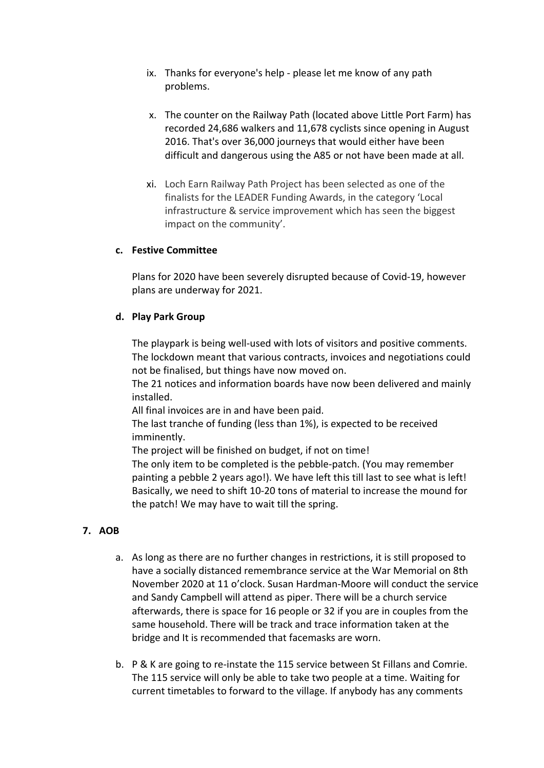- ix. Thanks for everyone's help please let me know of any path problems.
- x. The counter on the Railway Path (located above Little Port Farm) has recorded 24,686 walkers and 11,678 cyclists since opening in August 2016. That's over 36,000 journeys that would either have been difficult and dangerous using the A85 or not have been made at all.
- xi. Loch Earn Railway Path Project has been selected as one of the finalists for the LEADER Funding Awards, in the category 'Local infrastructure & service improvement which has seen the biggest impact on the community'.

# **c. Festive Committee**

Plans for 2020 have been severely disrupted because of Covid-19, however plans are underway for 2021.

# **d. Play Park Group**

The playpark is being well-used with lots of visitors and positive comments. The lockdown meant that various contracts, invoices and negotiations could not be finalised, but things have now moved on.

The 21 notices and information boards have now been delivered and mainly installed.

All final invoices are in and have been paid.

The last tranche of funding (less than 1%), is expected to be received imminently.

The project will be finished on budget, if not on time!

The only item to be completed is the pebble-patch. (You may remember painting a pebble 2 years ago!). We have left this till last to see what is left! Basically, we need to shift 10-20 tons of material to increase the mound for the patch! We may have to wait till the spring.

# **7. AOB**

- a. As long as there are no further changes in restrictions, it is still proposed to have a socially distanced remembrance service at the War Memorial on 8th November 2020 at 11 o'clock. Susan Hardman-Moore will conduct the service and Sandy Campbell will attend as piper. There will be a church service afterwards, there is space for 16 people or 32 if you are in couples from the same household. There will be track and trace information taken at the bridge and It is recommended that facemasks are worn.
- b. P & K are going to re-instate the 115 service between St Fillans and Comrie. The 115 service will only be able to take two people at a time. Waiting for current timetables to forward to the village. If anybody has any comments